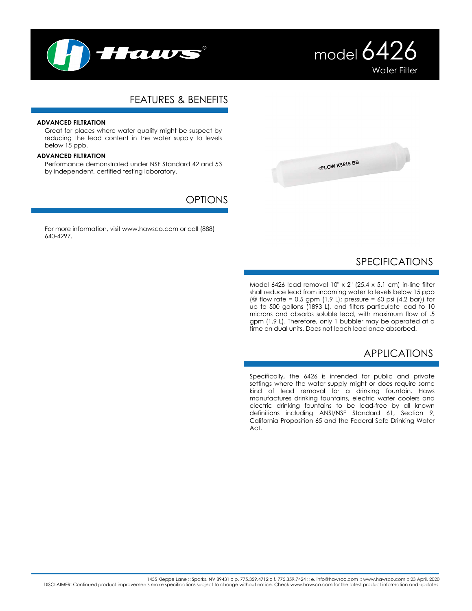



# FEATURES & BENEFITS

### **ADVANCED FILTRATION**

Great for places where water quality might be suspect by reducing the lead content in the water supply to levels below 15 ppb.

#### **ADVANCED FILTRATION**

Performance demonstrated under NSF Standard 42 and 53 by independent, certified testing laboratory.

## **OPTIONS**

For more information, visit www.hawsco.com or call (888) 640-4297.



# SPECIFICATIONS

Model 6426 lead removal 10" x 2" (25.4 x 5.1 cm) in-line filter shall reduce lead from incoming water to levels below 15 ppb (@ flow rate =  $0.5$  gpm (1.9 L); pressure =  $60$  psi (4.2 bar)) for up to 500 gallons (1893 L), and filters particulate lead to 10 microns and absorbs soluble lead, with maximum flow of .5 gpm (1.9 L). Therefore, only 1 bubbler may be operated at a time on dual units. Does not leach lead once absorbed.

## APPLICATIONS

Specifically, the 6426 is intended for public and private settings where the water supply might or does require some kind of lead removal for a drinking fountain. Haws manufactures drinking fountains, electric water coolers and electric drinking fountains to be lead-free by all known definitions including ANSI/NSF Standard 61, Section 9, California Proposition 65 and the Federal Safe Drinking Water Act.